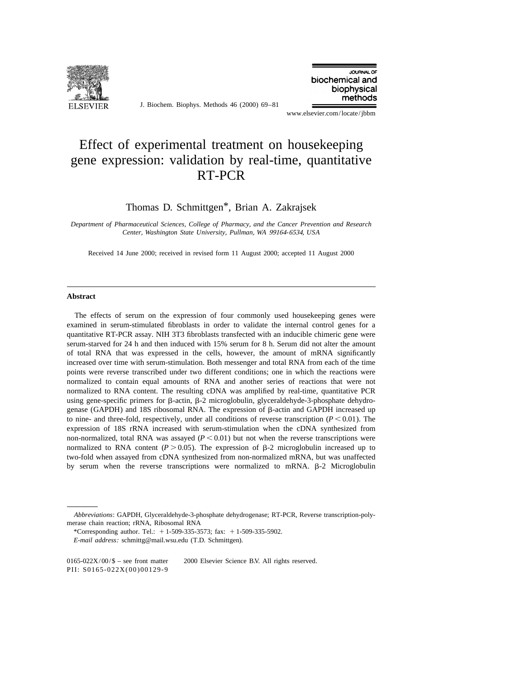

J. Biochem. Biophys. Methods 46 (2000) 69–81

JOURNAL OF biochemical and biophysical methods

www.elsevier.com/locate/jbbm

# Effect of experimental treatment on housekeeping gene expression: validation by real-time, quantitative RT-PCR

Thomas D. Schmittgen<sup>\*</sup>, Brian A. Zakrajsek

*Department of Pharmaceutical Sciences*, *College of Pharmacy*, *and the Cancer Prevention and Research Center*, *Washington State University*, *Pullman*, *WA* <sup>99164</sup>-6534, *USA*

Received 14 June 2000; received in revised form 11 August 2000; accepted 11 August 2000

## **Abstract**

The effects of serum on the expression of four commonly used housekeeping genes were examined in serum-stimulated fibroblasts in order to validate the internal control genes for a quantitative RT-PCR assay. NIH 3T3 fibroblasts transfected with an inducible chimeric gene were serum-starved for 24 h and then induced with 15% serum for 8 h. Serum did not alter the amount of total RNA that was expressed in the cells, however, the amount of mRNA significantly increased over time with serum-stimulation. Both messenger and total RNA from each of the time points were reverse transcribed under two different conditions; one in which the reactions were normalized to contain equal amounts of RNA and another series of reactions that were not normalized to RNA content. The resulting cDNA was amplified by real-time, quantitative PCR using gene-specific primers for  $\beta$ -actin,  $\beta$ -2 microglobulin, glyceraldehyde-3-phosphate dehydrogenase (GAPDH) and 18S ribosomal RNA. The expression of  $\beta$ -actin and GAPDH increased up to nine- and three-fold, respectively, under all conditions of reverse transcription  $(P < 0.01)$ . The expression of 18S rRNA increased with serum-stimulation when the cDNA synthesized from non-normalized, total RNA was assayed  $(P < 0.01)$  but not when the reverse transcriptions were normalized to RNA content ( $P > 0.05$ ). The expression of  $\beta$ -2 microglobulin increased up to two-fold when assayed from cDNA synthesized from non-normalized mRNA, but was unaffected by serum when the reverse transcriptions were normalized to mRNA.  $\beta$ -2 Microglobulin

*Abbreviations*: GAPDH, Glyceraldehyde-3-phosphate dehydrogenase; RT-PCR, Reverse transcription-polymerase chain reaction; rRNA, Ribosomal RNA

<sup>\*</sup>Corresponding author. Tel.:  $+ 1-509-335-3573$ ; fax:  $+ 1-509-335-5902$ .

*E*-*mail address*: schmittg@mail.wsu.edu (T.D. Schmittgen).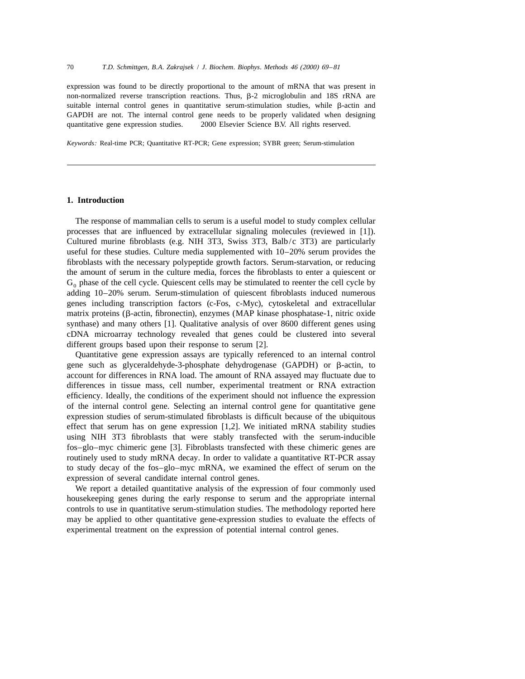expression was found to be directly proportional to the amount of mRNA that was present in non-normalized reverse transcription reactions. Thus,  $\beta$ -2 microglobulin and 18S rRNA are suitable internal control genes in quantitative serum-stimulation studies, while  $\beta$ -actin and GAPDH are not. The internal control gene needs to be properly validated when designing quantitative gene expression studies.  $\circ$  2000 Elsevier Science B.V. All rights reserved.

*Keywords*: Real-time PCR; Quantitative RT-PCR; Gene expression; SYBR green; Serum-stimulation

# **1. Introduction**

The response of mammalian cells to serum is a useful model to study complex cellular processes that are influenced by extracellular signaling molecules (reviewed in [1]). Cultured murine fibroblasts (e.g. NIH 3T3, Swiss 3T3, Balb/c 3T3) are particularly useful for these studies. Culture media supplemented with 10–20% serum provides the fibroblasts with the necessary polypeptide growth factors. Serum-starvation, or reducing the amount of serum in the culture media, forces the fibroblasts to enter a quiescent or  $G_0$  phase of the cell cycle. Quiescent cells may be stimulated to reenter the cell cycle by adding 10–20% serum. Serum-stimulation of quiescent fibroblasts induced numerous genes including transcription factors (c-Fos, c-Myc), cytoskeletal and extracellular matrix proteins ( $\beta$ -actin, fibronectin), enzymes (MAP kinase phosphatase-1, nitric oxide synthase) and many others [1]. Qualitative analysis of over 8600 different genes using cDNA microarray technology revealed that genes could be clustered into several different groups based upon their response to serum [2].

Quantitative gene expression assays are typically referenced to an internal control gene such as glyceraldehyde-3-phosphate dehydrogenase  $(GAPDH)$  or  $\beta$ -actin, to account for differences in RNA load. The amount of RNA assayed may fluctuate due to differences in tissue mass, cell number, experimental treatment or RNA extraction efficiency. Ideally, the conditions of the experiment should not influence the expression of the internal control gene. Selecting an internal control gene for quantitative gene expression studies of serum-stimulated fibroblasts is difficult because of the ubiquitous effect that serum has on gene expression [1,2]. We initiated mRNA stability studies using NIH 3T3 fibroblasts that were stably transfected with the serum-inducible fos–glo–myc chimeric gene [3]. Fibroblasts transfected with these chimeric genes are routinely used to study mRNA decay. In order to validate a quantitative RT-PCR assay to study decay of the fos–glo–myc mRNA, we examined the effect of serum on the expression of several candidate internal control genes.

We report a detailed quantitative analysis of the expression of four commonly used housekeeping genes during the early response to serum and the appropriate internal controls to use in quantitative serum-stimulation studies. The methodology reported here may be applied to other quantitative gene-expression studies to evaluate the effects of experimental treatment on the expression of potential internal control genes.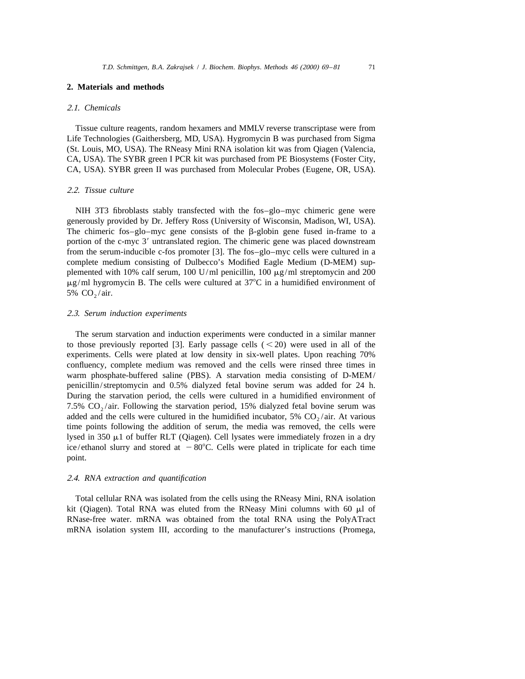#### **2. Materials and methods**

#### 2.1. *Chemicals*

Tissue culture reagents, random hexamers and MMLV reverse transcriptase were from Life Technologies (Gaithersberg, MD, USA). Hygromycin B was purchased from Sigma (St. Louis, MO, USA). The RNeasy Mini RNA isolation kit was from Qiagen (Valencia, CA, USA). The SYBR green I PCR kit was purchased from PE Biosystems (Foster City, CA, USA). SYBR green II was purchased from Molecular Probes (Eugene, OR, USA).

# 2.2. *Tissue culture*

NIH 3T3 fibroblasts stably transfected with the fos–glo–myc chimeric gene were generously provided by Dr. Jeffery Ross (University of Wisconsin, Madison, WI, USA). The chimeric fos–glo–myc gene consists of the  $\beta$ -globin gene fused in-frame to a portion of the c-myc 3' untranslated region. The chimeric gene was placed downstream from the serum-inducible c-fos promoter [3]. The fos–glo–myc cells were cultured in a complete medium consisting of Dulbecco's Modified Eagle Medium (D-MEM) supplemented with 10% calf serum, 100 U/ml penicillin, 100  $\mu$ g/ml streptomycin and 200  $\mu$ g/ml hygromycin B. The cells were cultured at 37<sup>o</sup>C in a humidified environment of 5%  $CO<sub>2</sub>/air$ .

#### 2.3. *Serum induction experiments*

The serum starvation and induction experiments were conducted in a similar manner to those previously reported [3]. Early passage cells  $( $20$ ) were used in all of the$ experiments. Cells were plated at low density in six-well plates. Upon reaching 70% confluency, complete medium was removed and the cells were rinsed three times in warm phosphate-buffered saline (PBS). A starvation media consisting of D-MEM/ penicillin/streptomycin and 0.5% dialyzed fetal bovine serum was added for 24 h. During the starvation period, the cells were cultured in a humidified environment of 7.5%  $CO<sub>2</sub>/air$ . Following the starvation period, 15% dialyzed fetal bovine serum was added and the cells were cultured in the humidified incubator,  $5\%$  CO<sub>2</sub>/air. At various time points following the addition of serum, the media was removed, the cells were lysed in 350  $\mu$ 1 of buffer RLT (Qiagen). Cell lysates were immediately frozen in a dry ice/ethanol slurry and stored at  $-80^{\circ}$ C. Cells were plated in triplicate for each time point.

# 2.4. *RNA extraction and quantification*

Total cellular RNA was isolated from the cells using the RNeasy Mini, RNA isolation kit (Qiagen). Total RNA was eluted from the RNeasy Mini columns with 60  $\mu$ l of RNase-free water. mRNA was obtained from the total RNA using the PolyATract mRNA isolation system III, according to the manufacturer's instructions (Promega,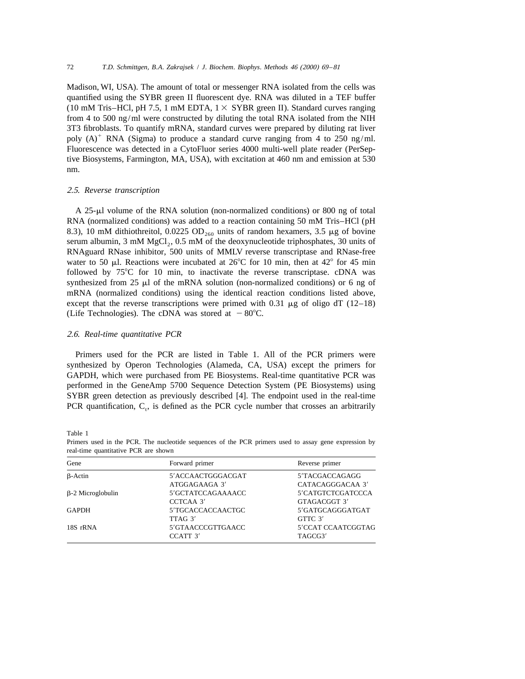Madison, WI, USA). The amount of total or messenger RNA isolated from the cells was quantified using the SYBR green II fluorescent dye. RNA was diluted in a TEF buffer (10 mM Tris–HCl, pH 7.5, 1 mM EDTA,  $1 \times$  SYBR green II). Standard curves ranging from 4 to 500 ng/ml were constructed by diluting the total RNA isolated from the NIH 3T3 fibroblasts. To quantify mRNA, standard curves were prepared by diluting rat liver poly  $(A)^+$  RNA (Sigma) to produce a standard curve ranging from 4 to 250 ng/ml. Fluorescence was detected in a CytoFluor series 4000 multi-well plate reader (PerSeptive Biosystems, Farmington, MA, USA), with excitation at 460 nm and emission at 530 nm.

# 2.5. *Reverse transcription*

A 25-µl volume of the RNA solution (non-normalized conditions) or 800 ng of total RNA (normalized conditions) was added to a reaction containing 50 mM Tris–HCl (pH 8.3), 10 mM dithiothreitol, 0.0225 OD<sub>260</sub> units of random hexamers, 3.5  $\mu$ g of bovine serum albumin, 3 mM  $MgCl<sub>2</sub>$ , 0.5 mM of the deoxynucleotide triphosphates, 30 units of RNAguard RNase inhibitor, 500 units of MMLV reverse transcriptase and RNase-free water to 50  $\mu$ l. Reactions were incubated at 26°C for 10 min, then at 42° for 45 min followed by  $75^{\circ}$ C for 10 min, to inactivate the reverse transcriptase. cDNA was synthesized from 25  $\mu$ l of the mRNA solution (non-normalized conditions) or 6 ng of mRNA (normalized conditions) using the identical reaction conditions listed above, except that the reverse transcriptions were primed with 0.31  $\mu$ g of oligo dT (12–18) (Life Technologies). The cDNA was stored at  $-80^{\circ}$ C.

#### 2.6. *Real*-*time quantitative PCR*

Primers used for the PCR are listed in Table 1. All of the PCR primers were synthesized by Operon Technologies (Alameda, CA, USA) except the primers for GAPDH, which were purchased from PE Biosystems. Real-time quantitative PCR was performed in the GeneAmp 5700 Sequence Detection System (PE Biosystems) using SYBR green detection as previously described [4]. The endpoint used in the real-time PCR quantification,  $C_i$ , is defined as the PCR cycle number that crosses an arbitrarily

Table 1

Primers used in the PCR. The nucleotide sequences of the PCR primers used to assay gene expression by real-time quantitative PCR are shown

| Gene                     | Forward primer    | Reverse primer     |
|--------------------------|-------------------|--------------------|
| $\beta$ -Actin           | 5'ACCAACTGGGACGAT | 5'TACGACCAGAGG     |
|                          | ATGGAGAAGA 3'     | CATACAGGGACAA 3'   |
| $\beta$ -2 Microglobulin | 5'GCTATCCAGAAAACC | 5'CATGTCTCGATCCCA  |
|                          | CCTCAA 3'         | GTAGACGGT 3'       |
| <b>GAPDH</b>             | 5'TGCACCACCAACTGC | 5'GATGCAGGGATGAT   |
|                          | TTAG 3'           | GTTC 3'            |
| 18S rRNA                 | 5'GTAACCCGTTGAACC | 5'CCAT CCAATCGGTAG |
|                          | CCATT 3'          | TAGCG3'            |
|                          |                   |                    |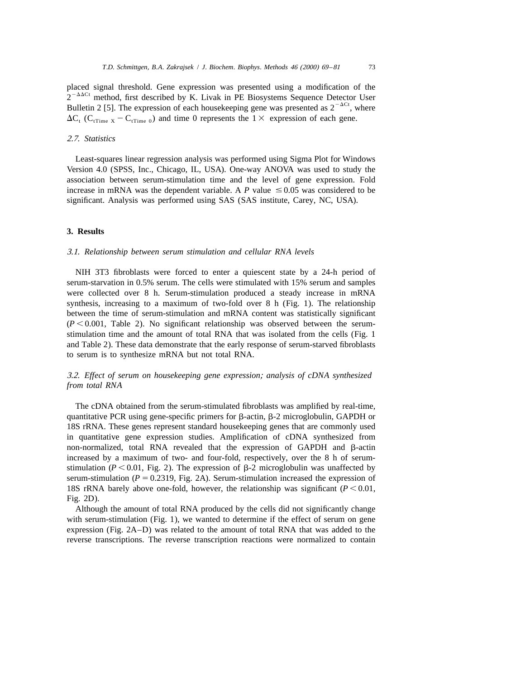placed signal threshold. Gene expression was presented using a modification of the  $2^{-\Delta\Delta\text{Ct}}$  method, first described by K. Livak in PE Biosystems Sequence Detector User Bulletin 2 [5]. The expression of each housekeeping gene was presented as  $2^{-\Delta\text{Ct}}$ , where  $\Delta C_t$  (C<sub>tTime X</sub> – C<sub>tTime 0</sub>) and time 0 represents the 1  $\times$  expression of each gene.

# 2.7. *Statistics*

Least-squares linear regression analysis was performed using Sigma Plot for Windows Version 4.0 (SPSS, Inc., Chicago, IL, USA). One-way ANOVA was used to study the association between serum-stimulation time and the level of gene expression. Fold increase in mRNA was the dependent variable. A  $P$  value  $\leq 0.05$  was considered to be significant. Analysis was performed using SAS (SAS institute, Carey, NC, USA).

# **3. Results**

#### 3.1. *Relationship between serum stimulation and cellular RNA levels*

NIH 3T3 fibroblasts were forced to enter a quiescent state by a 24-h period of serum-starvation in 0.5% serum. The cells were stimulated with 15% serum and samples were collected over 8 h. Serum-stimulation produced a steady increase in mRNA synthesis, increasing to a maximum of two-fold over 8 h (Fig. 1). The relationship between the time of serum-stimulation and mRNA content was statistically significant  $(P < 0.001$ , Table 2). No significant relationship was observed between the serumstimulation time and the amount of total RNA that was isolated from the cells (Fig. 1 and Table 2). These data demonstrate that the early response of serum-starved fibroblasts to serum is to synthesize mRNA but not total RNA.

# 3.2. *Effect of serum on housekeeping gene expression*; *analysis of cDNA synthesized from total RNA*

The cDNA obtained from the serum-stimulated fibroblasts was amplified by real-time, quantitative PCR using gene-specific primers for  $\beta$ -actin,  $\beta$ -2 microglobulin, GAPDH or 18S rRNA. These genes represent standard housekeeping genes that are commonly used in quantitative gene expression studies. Amplification of cDNA synthesized from non-normalized, total RNA revealed that the expression of GAPDH and  $\beta$ -actin increased by a maximum of two- and four-fold, respectively, over the 8 h of serumstimulation ( $P < 0.01$ , Fig. 2). The expression of  $\beta$ -2 microglobulin was unaffected by serum-stimulation ( $P = 0.2319$ , Fig. 2A). Serum-stimulation increased the expression of 18S rRNA barely above one-fold, however, the relationship was significant  $(P < 0.01$ , Fig. 2D).

Although the amount of total RNA produced by the cells did not significantly change with serum-stimulation (Fig. 1), we wanted to determine if the effect of serum on gene expression (Fig. 2A–D) was related to the amount of total RNA that was added to the reverse transcriptions. The reverse transcription reactions were normalized to contain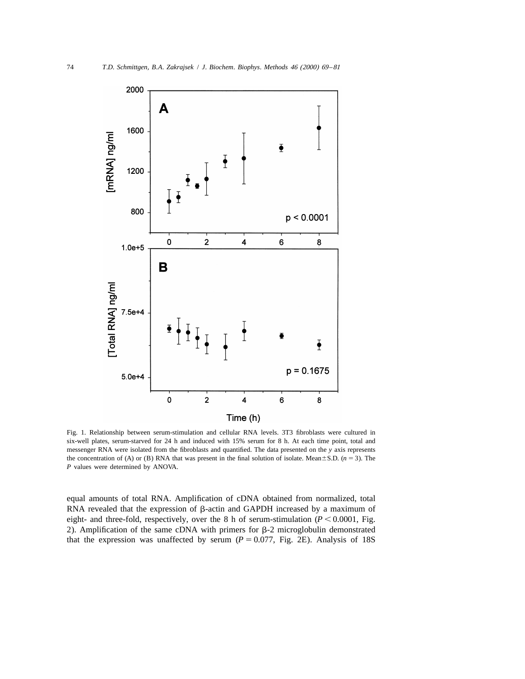

Fig. 1. Relationship between serum-stimulation and cellular RNA levels. 3T3 fibroblasts were cultured in six-well plates, serum-starved for 24 h and induced with 15% serum for 8 h. At each time point, total and messenger RNA were isolated from the fibroblasts and quantified. The data presented on the *y* axis represents the concentration of (A) or (B) RNA that was present in the final solution of isolate. Mean $\pm$ S.D. (*n* = 3). The *P* values were determined by ANOVA.

equal amounts of total RNA. Amplification of cDNA obtained from normalized, total RNA revealed that the expression of  $\beta$ -actin and GAPDH increased by a maximum of eight- and three-fold, respectively, over the 8 h of serum-stimulation  $(P < 0.0001$ , Fig. 2). Amplification of the same cDNA with primers for  $\beta$ -2 microglobulin demonstrated that the expression was unaffected by serum  $(P = 0.077,$  Fig. 2E). Analysis of 18S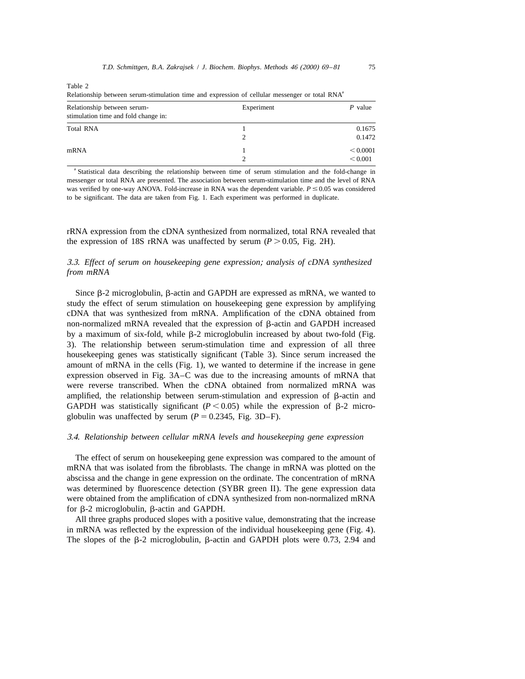| Relationship between serum-stimulation time and expression of cellular messenger or total RNA <sup>a</sup> |            |                     |  |  |
|------------------------------------------------------------------------------------------------------------|------------|---------------------|--|--|
| Relationship between serum-<br>stimulation time and fold change in:                                        | Experiment | P value             |  |  |
| <b>Total RNA</b>                                                                                           |            | 0.1675<br>0.1472    |  |  |
| mRNA                                                                                                       |            | < 0.0001<br>< 0.001 |  |  |

Table 2

| <sup>a</sup> Statistical data describing the relationship between time of serum stimulation and the fold-change in |
|--------------------------------------------------------------------------------------------------------------------|
| messenger or total RNA are presented. The association between serum-stimulation time and the level of RNA          |
| was verified by one-way ANOVA. Fold-increase in RNA was the dependent variable. $P \le 0.05$ was considered        |
| to be significant. The data are taken from Fig. 1. Each experiment was performed in duplicate.                     |

rRNA expression from the cDNA synthesized from normalized, total RNA revealed that the expression of 18S rRNA was unaffected by serum  $(P > 0.05$ , Fig. 2H).

# 3.3. *Effect of serum on housekeeping gene expression*; *analysis of cDNA synthesized from mRNA*

Since  $\beta$ -2 microglobulin,  $\beta$ -actin and GAPDH are expressed as mRNA, we wanted to study the effect of serum stimulation on housekeeping gene expression by amplifying cDNA that was synthesized from mRNA. Amplification of the cDNA obtained from non-normalized mRNA revealed that the expression of  $\beta$ -actin and GAPDH increased by a maximum of six-fold, while  $\beta$ -2 microglobulin increased by about two-fold (Fig. 3). The relationship between serum-stimulation time and expression of all three housekeeping genes was statistically significant (Table 3). Since serum increased the amount of mRNA in the cells (Fig. 1), we wanted to determine if the increase in gene expression observed in Fig. 3A–C was due to the increasing amounts of mRNA that were reverse transcribed. When the cDNA obtained from normalized mRNA was amplified, the relationship between serum-stimulation and expression of  $\beta$ -actin and GAPDH was statistically significant  $(P < 0.05)$  while the expression of  $\beta$ -2 microglobulin was unaffected by serum  $(P = 0.2345,$  Fig. 3D–F).

# 3.4. *Relationship between cellular mRNA levels and housekeeping gene expression*

The effect of serum on housekeeping gene expression was compared to the amount of mRNA that was isolated from the fibroblasts. The change in mRNA was plotted on the abscissa and the change in gene expression on the ordinate. The concentration of mRNA was determined by fluorescence detection (SYBR green II). The gene expression data were obtained from the amplification of cDNA synthesized from non-normalized mRNA for  $\beta$ -2 microglobulin,  $\beta$ -actin and GAPDH.

All three graphs produced slopes with a positive value, demonstrating that the increase in mRNA was reflected by the expression of the individual housekeeping gene (Fig. 4). The slopes of the  $\beta$ -2 microglobulin,  $\beta$ -actin and GAPDH plots were 0.73, 2.94 and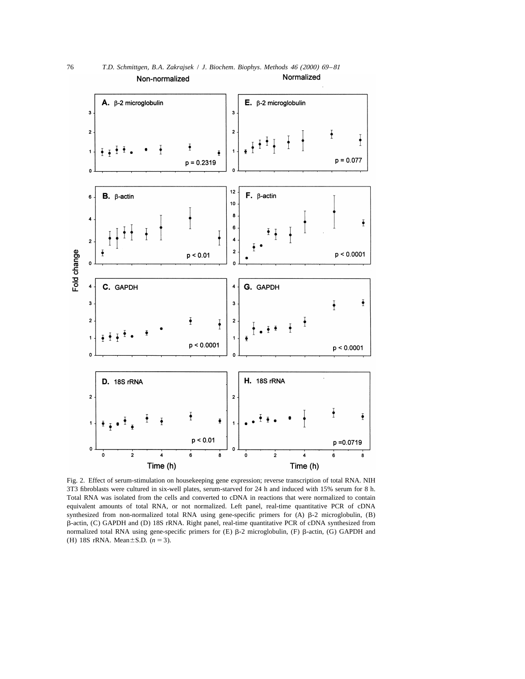

Fig. 2. Effect of serum-stimulation on housekeeping gene expression; reverse transcription of total RNA. NIH 3T3 fibroblasts were cultured in six-well plates, serum-starved for 24 h and induced with 15% serum for 8 h. Total RNA was isolated from the cells and converted to cDNA in reactions that were normalized to contain equivalent amounts of total RNA, or not normalized. Left panel, real-time quantitative PCR of cDNA synthesized from non-normalized total RNA using gene-specific primers for  $(A)$   $\beta$ -2 microglobulin,  $(B)$ b-actin, (C) GAPDH and (D) 18S rRNA. Right panel, real-time quantitative PCR of cDNA synthesized from normalized total RNA using gene-specific primers for  $(E)$   $\beta$ -2 microglobulin,  $(F)$   $\beta$ -actin,  $(G)$  GAPDH and (H) 18S rRNA. Mean $\pm$ S.D. (*n* = 3).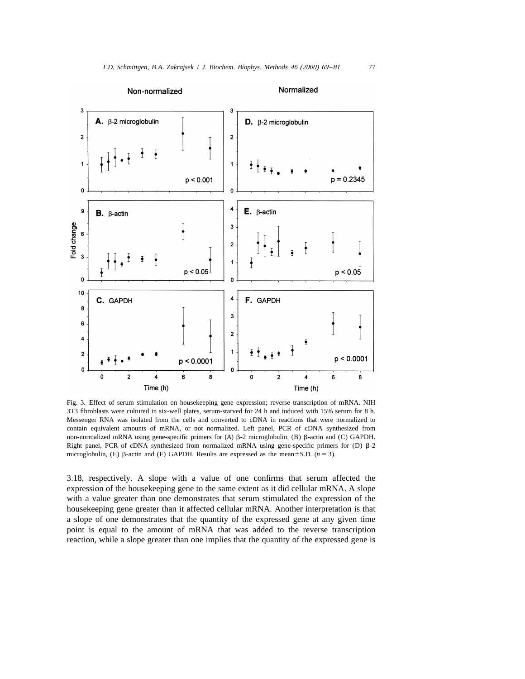

Fig. 3. Effect of serum stimulation on housekeeping gene expression; reverse transcription of mRNA. NIH 3T3 fibroblasts were cultured in six-well plates, serum-starved for 24 h and induced with 15% serum for 8 h. Messenger RNA was isolated from the cells and converted to cDNA in reactions that were normalized to contain equivalent amounts of mRNA, or not normalized. Left panel, PCR of cDNA synthesized from non-normalized mRNA using gene-specific primers for (A) β-2 microglobulin, (B) β-actin and (C) GAPDH. Right panel, PCR of cDNA synthesized from normalized mRNA using gene-specific primers for  $(D)$   $\beta$ -2 microglobulin, (E)  $\beta$ -actin and (F) GAPDH. Results are expressed as the mean $\pm$ S.D. (*n* = 3).

3.18, respectively. A slope with a value of one confirms that serum affected the expression of the housekeeping gene to the same extent as it did cellular mRNA. A slope with a value greater than one demonstrates that serum stimulated the expression of the housekeeping gene greater than it affected cellular mRNA. Another interpretation is that a slope of one demonstrates that the quantity of the expressed gene at any given time point is equal to the amount of mRNA that was added to the reverse transcription reaction, while a slope greater than one implies that the quantity of the expressed gene is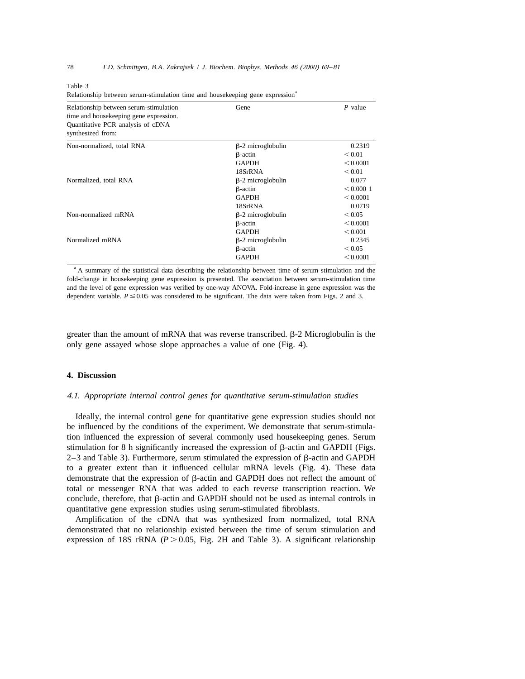| Relationship between serum-stimulation<br>time and housekeeping gene expression.<br>Quantitative PCR analysis of cDNA<br>synthesized from: | Gene                     | $P$ value |
|--------------------------------------------------------------------------------------------------------------------------------------------|--------------------------|-----------|
| Non-normalized, total RNA                                                                                                                  | $\beta$ -2 microglobulin | 0.2319    |
|                                                                                                                                            | β-actin                  | < 0.01    |
|                                                                                                                                            | <b>GAPDH</b>             | < 0.0001  |
|                                                                                                                                            | 18SrRNA                  | < 0.01    |
| Normalized, total RNA                                                                                                                      | $\beta$ -2 microglobulin | 0.077     |
|                                                                                                                                            | β-actin                  | < 0.0001  |
|                                                                                                                                            | <b>GAPDH</b>             | < 0.0001  |
|                                                                                                                                            | 18SrRNA                  | 0.0719    |
| Non-normalized mRNA                                                                                                                        | $\beta$ -2 microglobulin | < 0.05    |
|                                                                                                                                            | β-actin                  | < 0.0001  |
|                                                                                                                                            | <b>GAPDH</b>             | < 0.001   |
| Normalized mRNA                                                                                                                            | $\beta$ -2 microglobulin | 0.2345    |
|                                                                                                                                            | β-actin                  | < 0.05    |
|                                                                                                                                            | <b>GAPDH</b>             | < 0.0001  |
|                                                                                                                                            |                          |           |

Table 3

Relationship between serum-stimulation time and housekeeping gene expression<sup>a</sup>

<sup>a</sup> A summary of the statistical data describing the relationship between time of serum stimulation and the fold-change in housekeeping gene expression is presented. The association between serum-stimulation time and the level of gene expression was verified by one-way ANOVA. Fold-increase in gene expression was the dependent variable.  $P \le 0.05$  was considered to be significant. The data were taken from Figs. 2 and 3.

greater than the amount of mRNA that was reverse transcribed.  $\beta$ -2 Microglobulin is the only gene assayed whose slope approaches a value of one (Fig. 4).

# **4. Discussion**

# 4.1. *Appropriate internal control genes for quantitative serum*-*stimulation studies*

Ideally, the internal control gene for quantitative gene expression studies should not be influenced by the conditions of the experiment. We demonstrate that serum-stimulation influenced the expression of several commonly used housekeeping genes. Serum stimulation for 8 h significantly increased the expression of  $\beta$ -actin and GAPDH (Figs.  $2-3$  and Table 3). Furthermore, serum stimulated the expression of  $\beta$ -actin and GAPDH to a greater extent than it influenced cellular mRNA levels (Fig. 4). These data demonstrate that the expression of  $\beta$ -actin and GAPDH does not reflect the amount of total or messenger RNA that was added to each reverse transcription reaction. We conclude, therefore, that  $\beta$ -actin and GAPDH should not be used as internal controls in quantitative gene expression studies using serum-stimulated fibroblasts.

Amplification of the cDNA that was synthesized from normalized, total RNA demonstrated that no relationship existed between the time of serum stimulation and expression of 18S rRNA ( $P > 0.05$ , Fig. 2H and Table 3). A significant relationship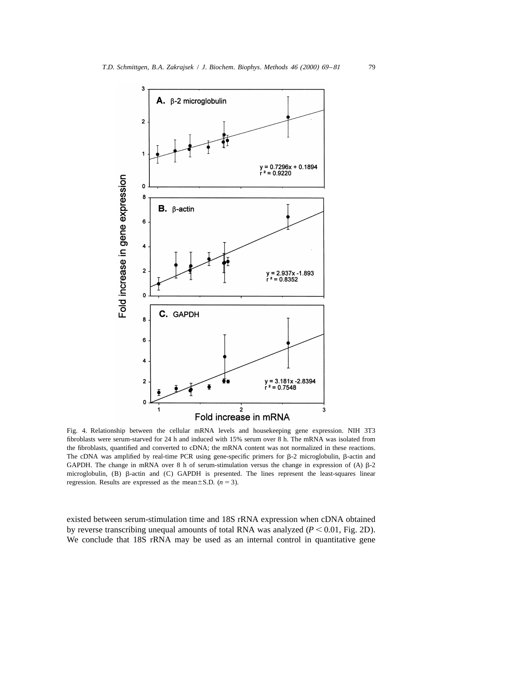

Fig. 4. Relationship between the cellular mRNA levels and housekeeping gene expression. NIH 3T3 fibroblasts were serum-starved for 24 h and induced with 15% serum over 8 h. The mRNA was isolated from the fibroblasts, quantified and converted to cDNA; the mRNA content was not normalized in these reactions. The cDNA was amplified by real-time PCR using gene-specific primers for  $\beta$ -2 microglobulin,  $\beta$ -actin and GAPDH. The change in mRNA over 8 h of serum-stimulation versus the change in expression of  $(A)$   $B-2$ microglobulin,  $(B)$   $\beta$ -actin and  $(C)$  GAPDH is presented. The lines represent the least-squares linear regression. Results are expressed as the mean $\pm$ S.D. (*n* = 3).

existed between serum-stimulation time and 18S rRNA expression when cDNA obtained by reverse transcribing unequal amounts of total RNA was analyzed  $(P < 0.01$ , Fig. 2D). We conclude that 18S rRNA may be used as an internal control in quantitative gene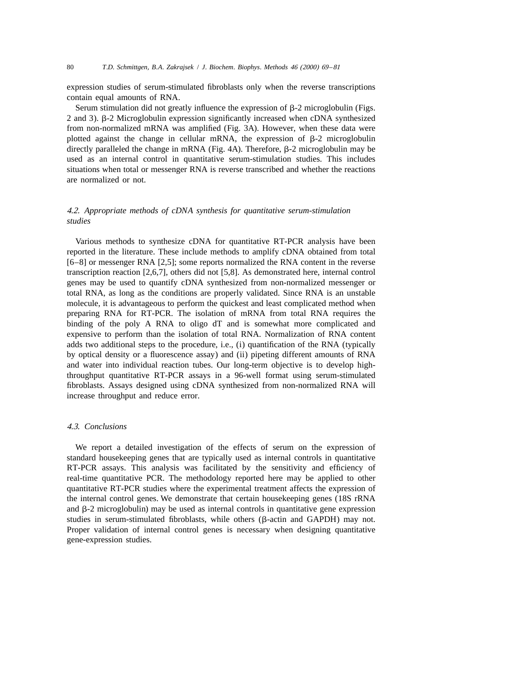expression studies of serum-stimulated fibroblasts only when the reverse transcriptions contain equal amounts of RNA.

Serum stimulation did not greatly influence the expression of  $\beta$ -2 microglobulin (Figs. 2 and 3).  $\beta$ -2 Microglobulin expression significantly increased when cDNA synthesized from non-normalized mRNA was amplified (Fig. 3A). However, when these data were plotted against the change in cellular mRNA, the expression of  $\beta$ -2 microglobulin directly paralleled the change in mRNA (Fig. 4A). Therefore,  $\beta$ -2 microglobulin may be used as an internal control in quantitative serum-stimulation studies. This includes situations when total or messenger RNA is reverse transcribed and whether the reactions are normalized or not.

# 4.2. *Appropriate methods of cDNA synthesis for quantitative serum*-*stimulation studies*

Various methods to synthesize cDNA for quantitative RT-PCR analysis have been reported in the literature. These include methods to amplify cDNA obtained from total [6–8] or messenger RNA [2,5]; some reports normalized the RNA content in the reverse transcription reaction [2,6,7], others did not [5,8]. As demonstrated here, internal control genes may be used to quantify cDNA synthesized from non-normalized messenger or total RNA, as long as the conditions are properly validated. Since RNA is an unstable molecule, it is advantageous to perform the quickest and least complicated method when preparing RNA for RT-PCR. The isolation of mRNA from total RNA requires the binding of the poly A RNA to oligo dT and is somewhat more complicated and expensive to perform than the isolation of total RNA. Normalization of RNA content adds two additional steps to the procedure, i.e., (i) quantification of the RNA (typically by optical density or a fluorescence assay) and (ii) pipeting different amounts of RNA and water into individual reaction tubes. Our long-term objective is to develop highthroughput quantitative RT-PCR assays in a 96-well format using serum-stimulated fibroblasts. Assays designed using cDNA synthesized from non-normalized RNA will increase throughput and reduce error.

## 4.3. *Conclusions*

We report a detailed investigation of the effects of serum on the expression of standard housekeeping genes that are typically used as internal controls in quantitative RT-PCR assays. This analysis was facilitated by the sensitivity and efficiency of real-time quantitative PCR. The methodology reported here may be applied to other quantitative RT-PCR studies where the experimental treatment affects the expression of the internal control genes. We demonstrate that certain housekeeping genes (18S rRNA and  $\beta$ -2 microglobulin) may be used as internal controls in quantitative gene expression studies in serum-stimulated fibroblasts, while others  $(\beta$ -actin and GAPDH) may not. Proper validation of internal control genes is necessary when designing quantitative gene-expression studies.